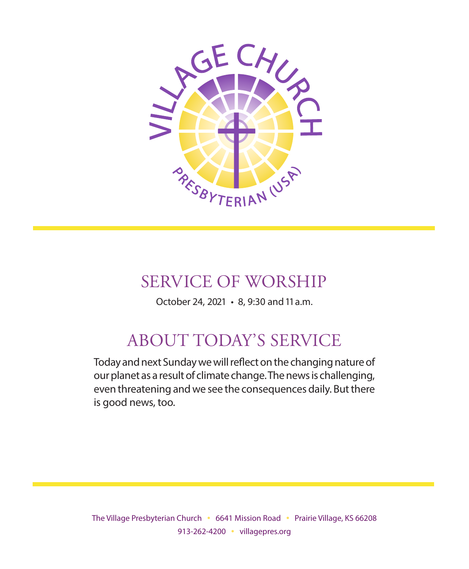

# SERVICE OF WORSHIP

October 24, 2021 • 8, 9:30 and 11 a.m.

#### ABOUT TODAY'S SERVICE ABOUT TODAY'S SERVICE

Today and next Sunday we will reflect on the changing nature of foddy and next banddy we will enect on the changing hatdre of<br>our planet as a result of climate change. The news is challenging, based on the distribution of the many control to divide who was in and who was in and who was in an and who wa even threatening and we see the consequences daily. But there<br>is aeod nous too result, they refrained from loving each other, failed to see Christ in each other, failed to see Christ in each is good news, too.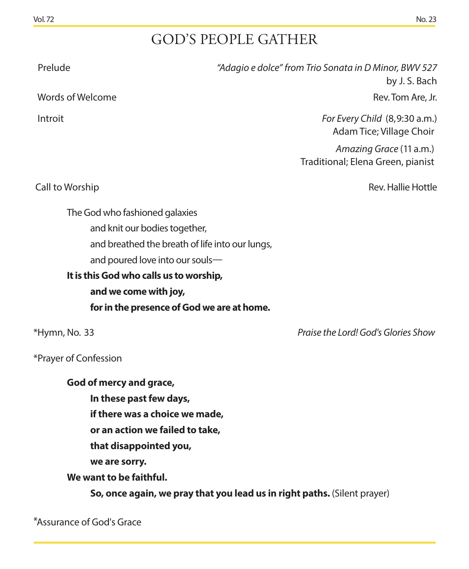# GOD'S PEOPLE GATHER

| <b>GOD'S PEOPLE GATHER</b>                                                                                                                                                                                         |
|--------------------------------------------------------------------------------------------------------------------------------------------------------------------------------------------------------------------|
| "Adagio e dolce" from Trio Sonata in D Minor, BWV 527<br>by J. S. Bach                                                                                                                                             |
| Rev. Tom Are, Jr.                                                                                                                                                                                                  |
| For Every Child (8,9:30 a.m.)<br>Adam Tice; Village Choir                                                                                                                                                          |
| Amazing Grace (11 a.m.)<br>Traditional; Elena Green, pianist                                                                                                                                                       |
| Rev. Hallie Hottle                                                                                                                                                                                                 |
| and breathed the breath of life into our lungs,<br>and poured love into our souls-<br>It is this God who calls us to worship,<br>for in the presence of God we are at home.<br>Praise the Lord! God's Glories Show |
| if there was a choice we made,<br>or an action we failed to take,<br>So, once again, we pray that you lead us in right paths. (Silent prayer)                                                                      |
|                                                                                                                                                                                                                    |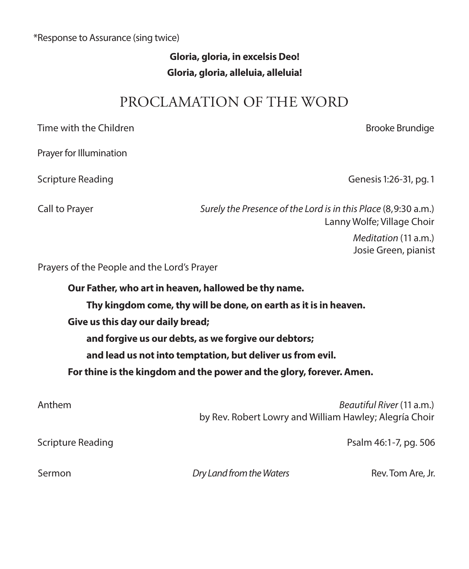#### \*Response to Assurance (sing twice)

#### **Gloria, gloria, in excelsis Deo! Gloria, gloria, alleluia, alleluia!**

#### PROCLAMATION OF THE WORD

| Time with the Children                                               |                                                                | <b>Brooke Brundige</b>                       |  |
|----------------------------------------------------------------------|----------------------------------------------------------------|----------------------------------------------|--|
| Prayer for Illumination                                              |                                                                |                                              |  |
| Scripture Reading                                                    |                                                                | Genesis 1:26-31, pg. 1                       |  |
| Call to Prayer                                                       | Surely the Presence of the Lord is in this Place (8,9:30 a.m.) | Lanny Wolfe; Village Choir                   |  |
|                                                                      |                                                                | Meditation (11 a.m.)<br>Josie Green, pianist |  |
| Prayers of the People and the Lord's Prayer                          |                                                                |                                              |  |
| Our Father, who art in heaven, hallowed be thy name.                 |                                                                |                                              |  |
| Thy kingdom come, thy will be done, on earth as it is in heaven.     |                                                                |                                              |  |
| Give us this day our daily bread;                                    |                                                                |                                              |  |
| and forgive us our debts, as we forgive our debtors;                 |                                                                |                                              |  |
| and lead us not into temptation, but deliver us from evil.           |                                                                |                                              |  |
| For thine is the kingdom and the power and the glory, forever. Amen. |                                                                |                                              |  |
| Anthem                                                               | by Rev. Robert Lowry and William Hawley; Alegría Choir         | Beautiful River (11 a.m.)                    |  |
| Scripture Reading                                                    |                                                                | Psalm 46:1-7, pg. 506                        |  |
| Sermon                                                               | Dry Land from the Waters                                       | Rev. Tom Are, Jr.                            |  |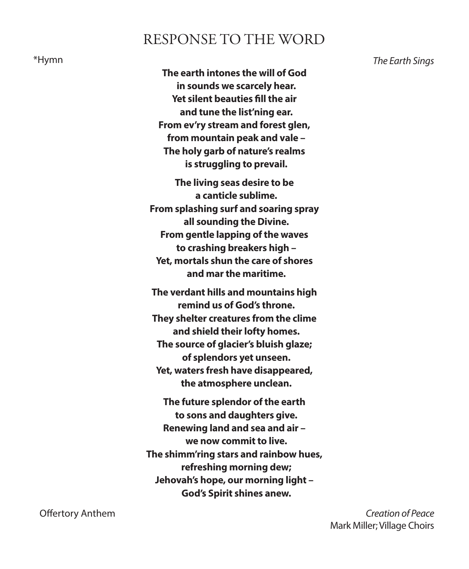#### RESPONSE TO THE WORD

**The earth intones the will of God in sounds we scarcely hear. Yet silent beauties fill the air and tune the list'ning ear. From ev'ry stream and forest glen, from mountain peak and vale – The holy garb of nature's realms is struggling to prevail.** 

**The living seas desire to be a canticle sublime. From splashing surf and soaring spray all sounding the Divine. From gentle lapping of the waves to crashing breakers high – Yet, mortals shun the care of shores and mar the maritime.** 

**The verdant hills and mountains high remind us of God's throne. They shelter creatures from the clime and shield their lofty homes. The source of glacier's bluish glaze; of splendors yet unseen. Yet, waters fresh have disappeared, the atmosphere unclean.** 

**The future splendor of the earth to sons and daughters give. Renewing land and sea and air – we now commit to live. The shimm'ring stars and rainbow hues, refreshing morning dew; Jehovah's hope, our morning light – God's Spirit shines anew.** 

\*Hymn *The Earth Sings* 

 Offertory Anthem *Creation of Peace*  Mark Miller; Village Choirs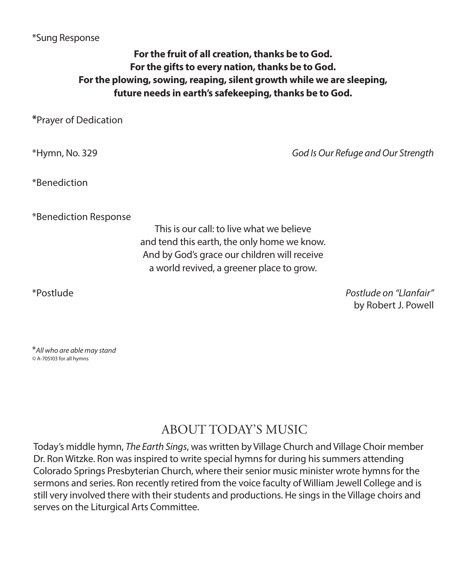#### \*Sung Response

#### **For the fruit of all creation, thanks be to God. For the gifts to every nation, thanks be to God. For the plowing, sowing, reaping, silent growth while we are sleeping, future needs in earth's safekeeping, thanks be to God.**

**\***Prayer of Dedication

\*Hymn, No. 329 *God Is Our Refuge and Our Strength*

\*Benediction

\*Benediction Response

This is our call: to live what we believe and tend this earth, the only home we know. And by God's grace our children will receive a world revived, a greener place to grow.

\*Postlude *Postlude on "Llanfair"* by Robert J. Powell

\**All who are able may stand ©* A-705103 for all hymns

### ABOUT TODAY'S MUSIC

Today's middle hymn, *The Earth Sings*, was written by Village Church and Village Choir member Dr. Ron Witzke. Ron was inspired to write special hymns for during his summers attending Colorado Springs Presbyterian Church, where their senior music minister wrote hymns for the sermons and series. Ron recently retired from the voice faculty of William Jewell College and is still very involved there with their students and productions. He sings in the Village choirs and serves on the Liturgical Arts Committee.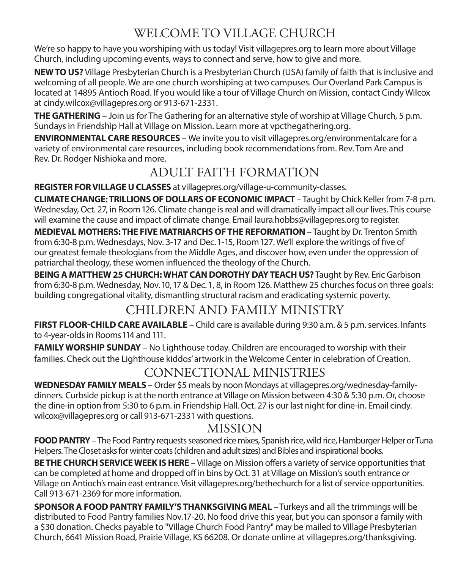## WELCOME TO VILLAGE CHURCH

We're so happy to have you worshiping with us today! Visit villagepres.org to learn more about Village Church, including upcoming events, ways to connect and serve, how to give and more.

**NEW TO US?** Village Presbyterian Church is a Presbyterian Church (USA) family of faith that is inclusive and welcoming of all people. We are one church worshiping at two campuses. Our Overland Park Campus is located at 14895 Antioch Road. If you would like a tour of Village Church on Mission, contact Cindy Wilcox at cindy.wilcox@villagepres.org or 913-671-2331.

**THE GATHERING** – Join us for The Gathering for an alternative style of worship at Village Church, 5 p.m. Sundays in Friendship Hall at Village on Mission. Learn more at vpcthegathering.org.

**ENVIRONMENTAL CARE RESOURCES** – We invite you to visit villagepres.org/environmentalcare for a variety of environmental care resources, including book recommendations from. Rev. Tom Are and Rev. Dr. Rodger Nishioka and more.

## ADULT FAITH FORMATION

**REGISTER FOR VILLAGE U CLASSES** at villagepres.org/village-u-community-classes.

**CLIMATE CHANGE: TRILLIONS OF DOLLARS OF ECONOMIC IMPACT** – Taught by Chick Keller from 7-8 p.m. Wednesday, Oct. 27, in Room 126. Climate change is real and will dramatically impact all our lives. This course will examine the cause and impact of climate change. Email laura.hobbs@villagepres.org to register.

**MEDIEVAL MOTHERS: THE FIVE MATRIARCHS OF THE REFORMATION** – Taught by Dr. Trenton Smith from 6:30-8 p.m. Wednesdays, Nov. 3-17 and Dec. 1-15, Room 127. We'll explore the writings of five of our greatest female theologians from the Middle Ages, and discover how, even under the oppression of patriarchal theology, these women influenced the theology of the Church.

**BEING A MATTHEW 25 CHURCH: WHAT CAN DOROTHY DAY TEACH US?** Taught by Rev. Eric Garbison from 6:30-8 p.m. Wednesday, Nov. 10, 17 & Dec. 1, 8, in Room 126. Matthew 25 churches focus on three goals: building congregational vitality, dismantling structural racism and eradicating systemic poverty.

#### CHILDREN AND FAMILY MINISTRY

**FIRST FLOOR-CHILD CARE AVAILABLE** – Child care is available during 9:30 a.m. & 5 p.m. services. Infants to 4-year-olds in Rooms 114 and 111.

**FAMILY WORSHIP SUNDAY** – No Lighthouse today. Children are encouraged to worship with their families. Check out the Lighthouse kiddos' artwork in the Welcome Center in celebration of Creation.

#### CONNECTIONAL MINISTRIES

**WEDNESDAY FAMILY MEALS** – Order \$5 meals by noon Mondays at villagepres.org/wednesday-familydinners. Curbside pickup is at the north entrance at Village on Mission between 4:30 & 5:30 p.m. Or, choose the dine-in option from 5:30 to 6 p.m. in Friendship Hall. Oct. 27 is our last night for dine-in. Email cindy. wilcox@villagepres.org or call 913-671-2331 with questions.

#### MISSION

**FOOD PANTRY** – The Food Pantry requests seasoned rice mixes, Spanish rice, wild rice, Hamburger Helper or Tuna Helpers. The Closet asks for winter coats (children and adult sizes) and Bibles and inspirational books.

**BE THE CHURCH SERVICE WEEK IS HERE** – Village on Mission offers a variety of service opportunities that can be completed at home and dropped off in bins by Oct. 31 at Village on Mission's south entrance or Village on Antioch's main east entrance. Visit villagepres.org/bethechurch for a list of service opportunities. Call 913-671-2369 for more information.

**SPONSOR A FOOD PANTRY FAMILY'S THANKSGIVING MEAL** – Turkeys and all the trimmings will be distributed to Food Pantry families Nov.17-20. No food drive this year, but you can sponsor a family with a \$30 donation. Checks payable to "Village Church Food Pantry" may be mailed to Village Presbyterian Church, 6641 Mission Road, Prairie Village, KS 66208. Or donate online at villagepres.org/thanksgiving.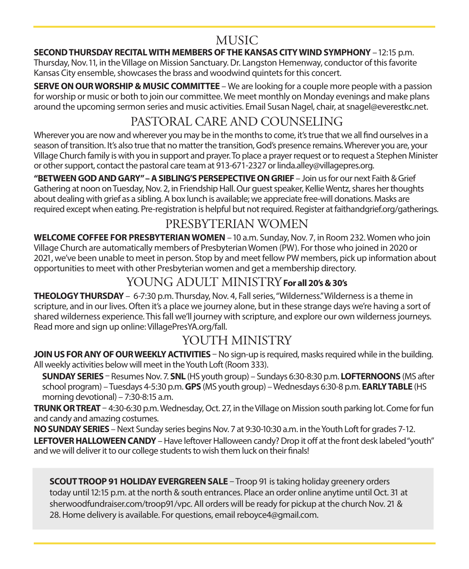#### MUSIC

#### **SECOND THURSDAY RECITAL WITH MEMBERS OF THE KANSAS CITY WIND SYMPHONY** – 12:15 p.m.

Thursday, Nov. 11, in the Village on Mission Sanctuary. Dr. Langston Hemenway, conductor of this favorite Kansas City ensemble, showcases the brass and woodwind quintets for this concert.

**SERVE ON OUR WORSHIP & MUSIC COMMITTEE** – We are looking for a couple more people with a passion **SENVE ON OON WONSHIP & MOSIC COMMITTEE** – We are looking for a couple more people with a passion<br>for worship or music or both to join our committee. We meet monthly on Monday evenings and make plans around the upcoming sermon series and music activities. Email Susan Nagel, chair, at snagel@everestkc.net.

# l the upcoming sermon series and music activities. Email Susan Nagel, chair, at snagel@e<br>PASTORAL CARE AND COUNSELING

Wherever you are now and wherever you may be in the months to come, it's true that we all find ourselves in a Wherever you are now and wherever you may be in the months to come, it's true that we all find ourselves in a<br>season of transition. It's also true that no matter the transition, God's presence remains. Wherever you are, yo value is a manufacture and that the matrix matrix are numerory we are presence common modern you and you."<br>Village Church family is with you in support and prayer. To place a prayer request or to request a Stephen Minister or other support, contact the pastoral care team at 913-671-2327 or linda.alley@villagepres.org.

**"BETWEEN GOD AND GARY" – A SIBLING'S PERSEPECTIVE ON GRIEF** – Join us for our next Faith & Grief Gathering at noon on Tuesday, Nov. 2, in Friendship Hall. Our guest speaker, Kellie Wentz, shares her thoughts about dealing with grief as a sibling. A box lunch is available; we appreciate free-will donations. Masks are required except when eating. Pre-registration is helpful but not required. Register at faithandgrief.org/gatherings.

# PRESBYTERIAN WOMEN

**WELCOME COFFEE FOR PRESBYTERIAN WOMEN** - 10 a.m. Sunday, Nov. 7, in Room 232. Women who join WEECOME COTTEET ON TRESDTTENTAN WOMEN TO a.m. Sanady, NOV. 7, in Noom 232. Women who jo<br>Village Church are automatically members of Presbyterian Women (PW). For those who joined in 2020 or 2021, we've been unable to meet in person. Stop by and meet fellow PW members, pick up information about and a<br>opportunities to meet with other Presbyterian wemen and get a membership directory. opportunities to meet with other Presbyterian women and get a membership directory.

# YOUNG ADULT MINISTRY For all 20's & 30's

**THEOLOGY THURSDAY** – 6-7:30 p.m. Thursday, Nov. 4, Fall series, "Wilderness." Wilderness is a theme in scripture, and in our lives. Often it's a place we journey alone, but in these strange days we're having a sort of shared wilderness experience. This fall we'll journey with scripture, and explore our own wilderness journeys. Read more and sign up online: VillagePresYA.org/fall.

## YOUTH MINISTRY

JOIN US FOR ANY OF OUR WEEKLY ACTIVITIES - No sign-up is required, masks required while in the building. All weekly activities below will meet in the Youth Loft (Room 333).

**SUNDAY SERIES** – Resumes Nov. 7. **SNL** (HS youth group) – Sundays 6:30-8:30 p.m. **LOFTERNOONS** (MS after school program) – Tuesdays 4-5:30 p.m. **GPS** (MS youth group) – Sundays 6.30-8.50 p.m. **EOFTERNOONS** (MS and<br>school program) – Tuesdays 4-5:30 p.m. **GPS** (MS youth group) – Wednesdays 6:30-8 p.m. **EARLY TABLE** (HS morning devotional) – 7:30-8:15 a.m.

**TRUNK OR TREAT** – 4:30-6:30 p.m. Wednesday, Oct. 27, in the Village on Mission south parking lot. Come for fun and candy and amazing costumes.

**NO SUNDAY SERIES** – Next Sunday series begins Nov. 7 at 9:30-10:30 a.m. in the Youth Loft for grades 7-12. LEFTOVER HALLOWEEN CANDY - Have leftover Halloween candy? Drop it off at the front desk labeled "youth" and we will deliver it to our college students to wish them luck on their finals!

**SCOUT TROOP 91 HOLIDAY EVERGREEN SALE** - Troop 91 is taking holiday greenery orders today until 12:15 p.m. at the north & south entrances. Place an order online anytime until Oct. 31 at *is a recording of the previous week's service.* sherwoodfundraiser.com/troop91/vpc. All orders will be ready for pickup at the church Nov. 21 & *We kindly request that cell phones be turned o during worship.* 28. Home delivery is available. For questions, email reboyce4@gmail.com. *Please note that additional parking is available across Mission Road in the Prairie School parking lots.* • • • *video Sunday morning is available Click page link Sermon Sermon*  **COFFEE FOR PRESBYTERIAN WOMEN** – 10 a.m. Sunday, Nov. 7, in Room 232. Words are automatically members of Presbyterian Women (FW). For those who joined is to meet with other Presbyterian women and get a membership director